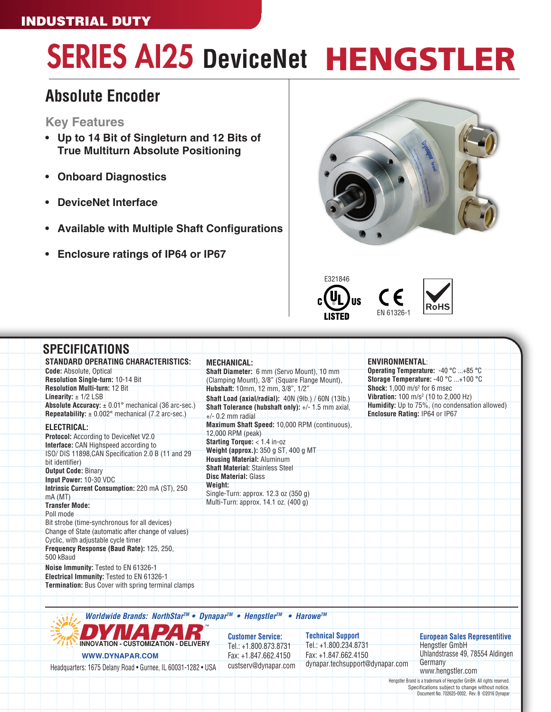### INDUSTRIAL DUTY

# SERIES AI25 **DeviceNet** HENGSTLER

## **Absolute Encoder**

### **Key Features**

- **• Up to 14 Bit of Singleturn and 12 Bits of True Multiturn Absolute Positioning**
- **• Onboard Diagnostics**
- **• DeviceNet Interface**
- **• Available with Multiple Shaft Configurations**
- **• Enclosure ratings of IP64 or IP67**







| <b>STANDARD OPERATING CHARACTERISTICS:</b>                                                                                     | <b>MECHANICAL:</b>                                                        | <b>ENVIRONMENTAL:</b>                                                            |
|--------------------------------------------------------------------------------------------------------------------------------|---------------------------------------------------------------------------|----------------------------------------------------------------------------------|
| <b>Code:</b> Absolute, Optical                                                                                                 | Shaft Diameter: 6 mm (Servo Mount), 10 mm                                 | Operating Temperature: -40 °C +85 °C                                             |
| Resolution Single-turn: 10-14 Bit                                                                                              | (Clamping Mount), 3/8" (Square Flange Mount),                             | Storage Temperature: -40 °C +100 °C                                              |
| <b>Resolution Multi-turn: 12 Bit</b>                                                                                           | Hubshaft: 10mm, 12 mm, 3/8", 1/2"                                         | <b>Shock:</b> $1.000$ m/s <sup>2</sup> for 6 msec                                |
| Linearity: $\pm$ 1/2 LSB                                                                                                       | Shaft Load (axial/radial): 40N (9lb.) / 60N (13lb.)                       | <b>Vibration:</b> 100 m/s <sup>2</sup> (10 to 2,000 Hz)                          |
| <b>Absolute Accuracy:</b> $\pm$ 0.01° mechanical (36 arc-sec.)<br><b>Repeatability:</b> $\pm$ 0.002° mechanical (7.2 arc-sec.) | Shaft Tolerance (hubshaft only): +/- 1.5 mm axial,<br>$+/-$ 0.2 mm radial | Humidity: Up to 75%, (no condensation allowed)<br>Enclosure Rating: IP64 or IP67 |
| <b>ELECTRICAL:</b>                                                                                                             | Maximum Shaft Speed: 10,000 RPM (continuous).                             |                                                                                  |
| <b>Protocol:</b> According to DeviceNet V2.0                                                                                   | 12,000 RPM (peak)<br><b>Starting Torque:</b> $<$ 1.4 in-oz                |                                                                                  |
| <b>Interface:</b> CAN Highspeed according to                                                                                   | Weight (approx.): 350 g ST, 400 g MT                                      |                                                                                  |
| ISO/ DIS 11898, CAN Specification 2.0 B (11 and 29)<br>bit identifier)                                                         | <b>Housing Material: Aluminum</b>                                         |                                                                                  |
| <b>Output Code: Binary</b>                                                                                                     | <b>Shaft Material: Stainless Steel</b>                                    |                                                                                  |
| Input Power: 10-30 VDC                                                                                                         | <b>Disc Material: Glass</b>                                               |                                                                                  |
| Intrinsic Current Consumption: 220 mA (ST), 250<br>mA(MT)                                                                      | Weight:<br>Single-Turn: approx. 12.3 oz (350 g)                           |                                                                                  |
| <b>Transfer Mode:</b>                                                                                                          | Multi-Turn: approx. 14.1 oz. (400 g)                                      |                                                                                  |
| Poll mode                                                                                                                      |                                                                           |                                                                                  |
| Bit strobe (time-synchronous for all devices)                                                                                  |                                                                           |                                                                                  |
| Change of State (automatic after change of values)                                                                             |                                                                           |                                                                                  |
| Cyclic, with adjustable cycle timer                                                                                            |                                                                           |                                                                                  |
| Frequency Response (Baud Rate): 125, 250,<br>500 kBaud                                                                         |                                                                           |                                                                                  |
| Noise Immunity: Tested to EN 61326-1                                                                                           |                                                                           |                                                                                  |
| Electrical Immunity: Tested to EN 61326-1                                                                                      |                                                                           |                                                                                  |
| <b>Termination:</b> Bus Cover with spring terminal clamps                                                                      |                                                                           |                                                                                  |





**Customer Service:** Tel.: +1.800.873.8731 Fax: +1.847.662.4150 custserv@dynapar.com **Technical Support** Tel.: +1.800.234.8731 Fax: +1.847.662.4150 dynapar.techsupport@dynapar.com

#### **European Sales Representitive** Hengstler GmbH

Uhlandstrasse 49, 78554 Aldingen **Germany** www.hengstler.com

Hengstler Brand is a trademark of Hengstler GmBH. All rights reserved. Specifications subject to change without notice. Document No. 702625-0002, Rev. B ©2016 Dynapar